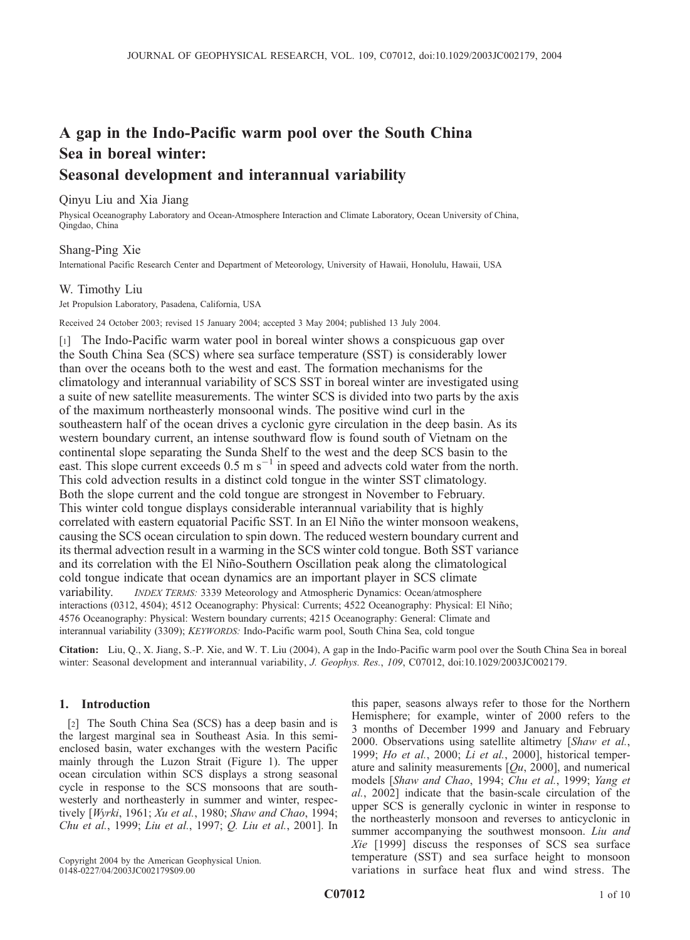# A gap in the Indo-Pacific warm pool over the South China Sea in boreal winter: Seasonal development and interannual variability

# Qinyu Liu and Xia Jiang

Physical Oceanography Laboratory and Ocean-Atmosphere Interaction and Climate Laboratory, Ocean University of China, Qingdao, China

# Shang-Ping Xie

International Pacific Research Center and Department of Meteorology, University of Hawaii, Honolulu, Hawaii, USA

# W. Timothy Liu

Jet Propulsion Laboratory, Pasadena, California, USA

Received 24 October 2003; revised 15 January 2004; accepted 3 May 2004; published 13 July 2004.

[1] The Indo-Pacific warm water pool in boreal winter shows a conspicuous gap over the South China Sea (SCS) where sea surface temperature (SST) is considerably lower than over the oceans both to the west and east. The formation mechanisms for the climatology and interannual variability of SCS SST in boreal winter are investigated using a suite of new satellite measurements. The winter SCS is divided into two parts by the axis of the maximum northeasterly monsoonal winds. The positive wind curl in the southeastern half of the ocean drives a cyclonic gyre circulation in the deep basin. As its western boundary current, an intense southward flow is found south of Vietnam on the continental slope separating the Sunda Shelf to the west and the deep SCS basin to the east. This slope current exceeds  $0.5 \text{ m s}^{-1}$  in speed and advects cold water from the north. This cold advection results in a distinct cold tongue in the winter SST climatology. Both the slope current and the cold tongue are strongest in November to February. This winter cold tongue displays considerable interannual variability that is highly correlated with eastern equatorial Pacific SST. In an El Niño the winter monsoon weakens, causing the SCS ocean circulation to spin down. The reduced western boundary current and its thermal advection result in a warming in the SCS winter cold tongue. Both SST variance and its correlation with the El Niño-Southern Oscillation peak along the climatological cold tongue indicate that ocean dynamics are an important player in SCS climate variability. INDEX TERMS: 3339 Meteorology and Atmospheric Dynamics: Ocean/atmosphere interactions (0312, 4504); 4512 Oceanography: Physical: Currents; 4522 Oceanography: Physical: El Niño; 4576 Oceanography: Physical: Western boundary currents; 4215 Oceanography: General: Climate and interannual variability (3309); KEYWORDS: Indo-Pacific warm pool, South China Sea, cold tongue

Citation: Liu, Q., X. Jiang, S.-P. Xie, and W. T. Liu (2004), A gap in the Indo-Pacific warm pool over the South China Sea in boreal winter: Seasonal development and interannual variability, J. Geophys. Res., 109, C07012, doi:10.1029/2003JC002179.

## 1. Introduction

[2] The South China Sea (SCS) has a deep basin and is the largest marginal sea in Southeast Asia. In this semienclosed basin, water exchanges with the western Pacific mainly through the Luzon Strait (Figure 1). The upper ocean circulation within SCS displays a strong seasonal cycle in response to the SCS monsoons that are southwesterly and northeasterly in summer and winter, respectively [Wyrki, 1961; Xu et al., 1980; Shaw and Chao, 1994; Chu et al., 1999; Liu et al., 1997; Q. Liu et al., 2001]. In

Copyright 2004 by the American Geophysical Union. 0148-0227/04/2003JC002179\$09.00

this paper, seasons always refer to those for the Northern Hemisphere; for example, winter of 2000 refers to the 3 months of December 1999 and January and February 2000. Observations using satellite altimetry [Shaw et al., 1999; *Ho et al.*, 2000; *Li et al.*, 2000], historical temperature and salinity measurements  $[Qu, 2000]$ , and numerical models [Shaw and Chao, 1994; Chu et al., 1999; Yang et al., 2002] indicate that the basin-scale circulation of the upper SCS is generally cyclonic in winter in response to the northeasterly monsoon and reverses to anticyclonic in summer accompanying the southwest monsoon. Liu and Xie [1999] discuss the responses of SCS sea surface temperature (SST) and sea surface height to monsoon variations in surface heat flux and wind stress. The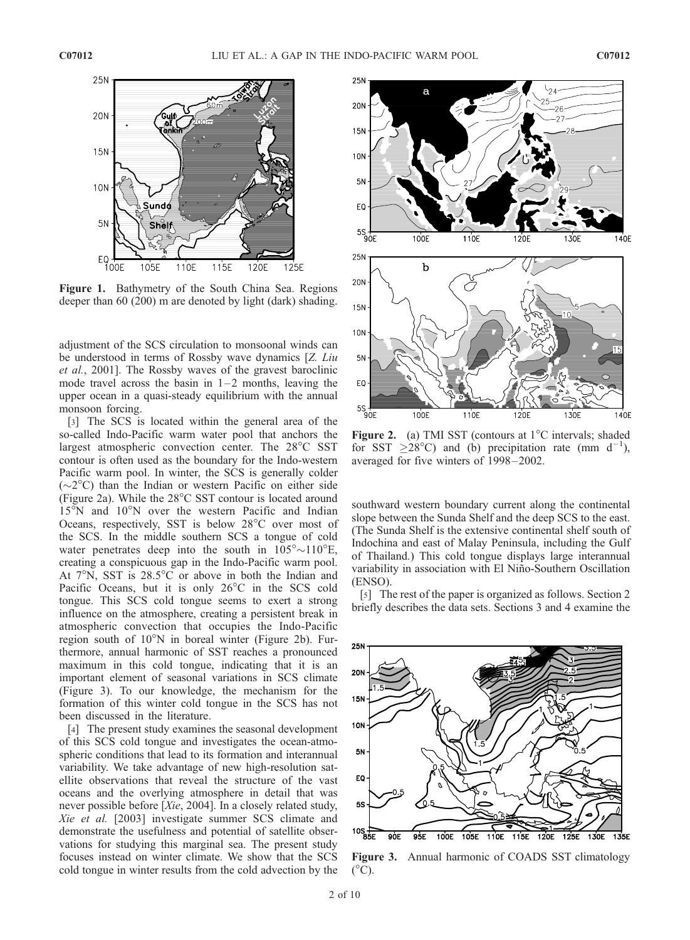

Figure 1. Bathymetry of the South China Sea. Regions deeper than 60 (200) m are denoted by light (dark) shading.

adjustment of the SCS circulation to monsoonal winds can be understood in terms of Rossby wave dynamics [Z. Liu et al., 2001]. The Rossby waves of the gravest baroclinic mode travel across the basin in  $1-2$  months, leaving the upper ocean in a quasi-steady equilibrium with the annual monsoon forcing.

[3] The SCS is located within the general area of the so-called Indo-Pacific warm water pool that anchors the largest atmospheric convection center. The 28°C SST contour is often used as the boundary for the Indo-western Pacific warm pool. In winter, the SCS is generally colder  $({\sim}2^{\circ}C)$  than the Indian or western Pacific on either side (Figure 2a). While the  $28^{\circ}$ C SST contour is located around  $15^{\circ}$ N and  $10^{\circ}$ N over the western Pacific and Indian Oceans, respectively, SST is below  $28^{\circ}$ C over most of the SCS. In the middle southern SCS a tongue of cold water penetrates deep into the south in  $105^{\circ} \sim 110^{\circ}$ E, creating a conspicuous gap in the Indo-Pacific warm pool. At  $7^\circ$ N, SST is  $28.5^\circ$ C or above in both the Indian and Pacific Oceans, but it is only  $26^{\circ}$ C in the SCS cold tongue. This SCS cold tongue seems to exert a strong influence on the atmosphere, creating a persistent break in atmospheric convection that occupies the Indo-Pacific region south of  $10^{\circ}$ N in boreal winter (Figure 2b). Furthermore, annual harmonic of SST reaches a pronounced maximum in this cold tongue, indicating that it is an important element of seasonal variations in SCS climate (Figure 3). To our knowledge, the mechanism for the formation of this winter cold tongue in the SCS has not been discussed in the literature.

[4] The present study examines the seasonal development of this SCS cold tongue and investigates the ocean-atmospheric conditions that lead to its formation and interannual variability. We take advantage of new high-resolution satellite observations that reveal the structure of the vast oceans and the overlying atmosphere in detail that was never possible before [Xie, 2004]. In a closely related study, Xie et al. [2003] investigate summer SCS climate and demonstrate the usefulness and potential of satellite observations for studying this marginal sea. The present study focuses instead on winter climate. We show that the SCS cold tongue in winter results from the cold advection by the



**Figure 2.** (a) TMI SST (contours at  $1^{\circ}$ C intervals; shaded for SST  $\geq 28^{\circ}$ C) and (b) precipitation rate (mm d<sup>-1</sup>), averaged for five winters of 1998– 2002.

southward western boundary current along the continental slope between the Sunda Shelf and the deep SCS to the east. (The Sunda Shelf is the extensive continental shelf south of Indochina and east of Malay Peninsula, including the Gulf of Thailand.) This cold tongue displays large interannual variability in association with El Niño-Southern Oscillation (ENSO).

[5] The rest of the paper is organized as follows. Section 2 briefly describes the data sets. Sections 3 and 4 examine the



Figure 3. Annual harmonic of COADS SST climatology  $(^{\circ}C)$ .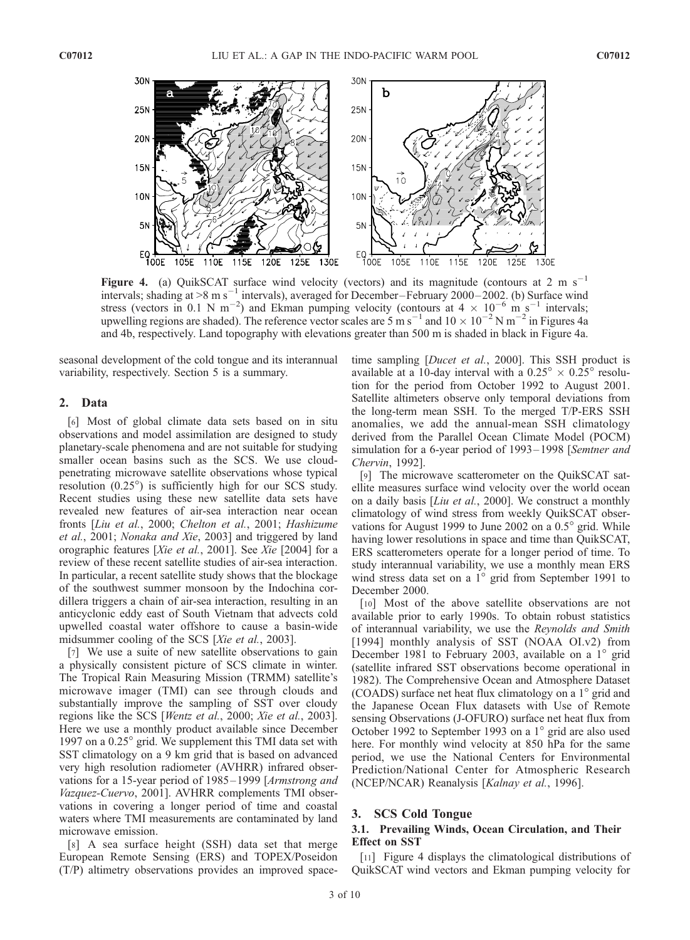

Figure 4. (a) QuikSCAT surface wind velocity (vectors) and its magnitude (contours at 2 m s<sup>-1</sup> intervals; shading at >8 m s<sup>-1</sup> intervals), averaged for December-February 2000–2002. (b) Surface wind stress (vectors in 0.1 N m<sup>-2</sup>) and Ekman pumping velocity (contours at  $4 \times 10^{-6}$  m s<sup>-1</sup> intervals; upwelling regions are shaded). The reference vector scales are 5 m s<sup>-1</sup> and  $10 \times 10^{-2}$  N m<sup>-2</sup> in Figures 4a and 4b, respectively. Land topography with elevations greater than 500 m is shaded in black in Figure 4a.

seasonal development of the cold tongue and its interannual variability, respectively. Section 5 is a summary.

#### 2. Data

[6] Most of global climate data sets based on in situ observations and model assimilation are designed to study planetary-scale phenomena and are not suitable for studying smaller ocean basins such as the SCS. We use cloudpenetrating microwave satellite observations whose typical resolution  $(0.25^{\circ})$  is sufficiently high for our SCS study. Recent studies using these new satellite data sets have revealed new features of air-sea interaction near ocean fronts [Liu et al., 2000; Chelton et al., 2001; Hashizume et al., 2001; Nonaka and Xie, 2003] and triggered by land orographic features [Xie et al., 2001]. See Xie [2004] for a review of these recent satellite studies of air-sea interaction. In particular, a recent satellite study shows that the blockage of the southwest summer monsoon by the Indochina cordillera triggers a chain of air-sea interaction, resulting in an anticyclonic eddy east of South Vietnam that advects cold upwelled coastal water offshore to cause a basin-wide midsummer cooling of the SCS [Xie et al., 2003].

[7] We use a suite of new satellite observations to gain a physically consistent picture of SCS climate in winter. The Tropical Rain Measuring Mission (TRMM) satellite's microwave imager (TMI) can see through clouds and substantially improve the sampling of SST over cloudy regions like the SCS [Wentz et al., 2000; Xie et al., 2003]. Here we use a monthly product available since December 1997 on a  $0.25^{\circ}$  grid. We supplement this TMI data set with SST climatology on a 9 km grid that is based on advanced very high resolution radiometer (AVHRR) infrared observations for a 15-year period of 1985–1999 [Armstrong and Vazquez-Cuervo, 2001]. AVHRR complements TMI observations in covering a longer period of time and coastal waters where TMI measurements are contaminated by land microwave emission.

[8] A sea surface height (SSH) data set that merge European Remote Sensing (ERS) and TOPEX/Poseidon (T/P) altimetry observations provides an improved spacetime sampling [*Ducet et al.*, 2000]. This SSH product is available at a 10-day interval with a  $0.25^{\circ} \times 0.25^{\circ}$  resolution for the period from October 1992 to August 2001. Satellite altimeters observe only temporal deviations from the long-term mean SSH. To the merged T/P-ERS SSH anomalies, we add the annual-mean SSH climatology derived from the Parallel Ocean Climate Model (POCM) simulation for a 6-year period of 1993–1998 [Semtner and Chervin, 1992].

[9] The microwave scatterometer on the QuikSCAT satellite measures surface wind velocity over the world ocean on a daily basis [*Liu et al.*, 2000]. We construct a monthly climatology of wind stress from weekly QuikSCAT observations for August 1999 to June 2002 on a  $0.5^{\circ}$  grid. While having lower resolutions in space and time than QuikSCAT, ERS scatterometers operate for a longer period of time. To study interannual variability, we use a monthly mean ERS wind stress data set on a  $1^{\circ}$  grid from September 1991 to December 2000.

[10] Most of the above satellite observations are not available prior to early 1990s. To obtain robust statistics of interannual variability, we use the Reynolds and Smith [1994] monthly analysis of SST (NOAA OI.v2) from December 1981 to February 2003, available on a  $1^{\circ}$  grid (satellite infrared SST observations become operational in 1982). The Comprehensive Ocean and Atmosphere Dataset (COADS) surface net heat flux climatology on a  $1^\circ$  grid and the Japanese Ocean Flux datasets with Use of Remote sensing Observations (J-OFURO) surface net heat flux from October 1992 to September 1993 on a  $1^{\circ}$  grid are also used here. For monthly wind velocity at 850 hPa for the same period, we use the National Centers for Environmental Prediction/National Center for Atmospheric Research (NCEP/NCAR) Reanalysis [Kalnay et al., 1996].

## 3. SCS Cold Tongue

#### 3.1. Prevailing Winds, Ocean Circulation, and Their Effect on SST

[11] Figure 4 displays the climatological distributions of QuikSCAT wind vectors and Ekman pumping velocity for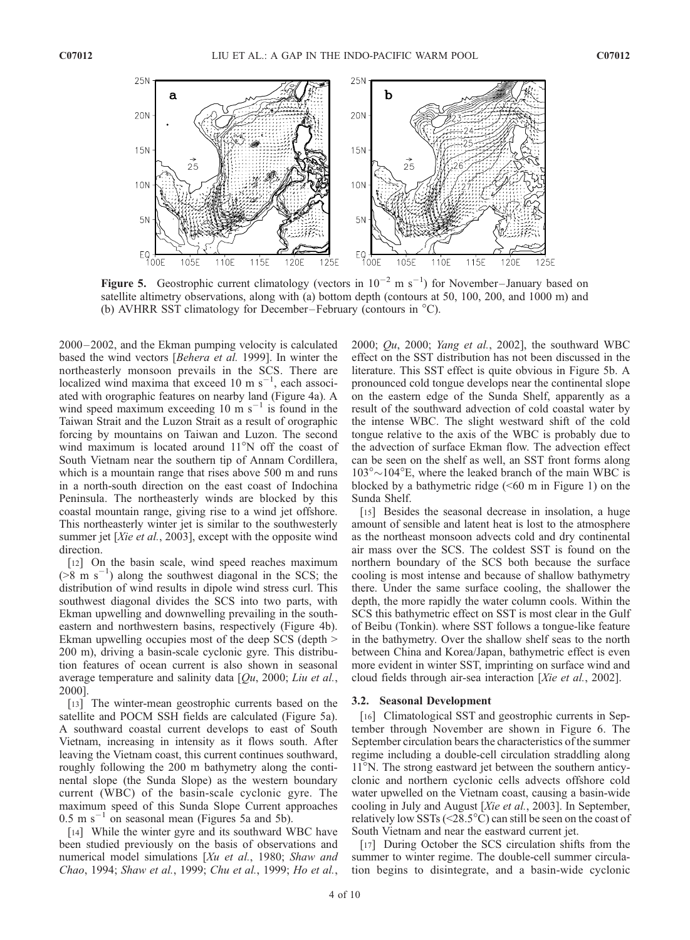

Figure 5. Geostrophic current climatology (vectors in  $10^{-2}$  m s<sup>-1</sup>) for November–January based on satellite altimetry observations, along with (a) bottom depth (contours at 50, 100, 200, and 1000 m) and (b) AVHRR SST climatology for December–February (contours in  $^{\circ}C$ ).

2000 – 2002, and the Ekman pumping velocity is calculated based the wind vectors [Behera et al. 1999]. In winter the northeasterly monsoon prevails in the SCS. There are localized wind maxima that exceed 10 m  $s^{-1}$ , each associated with orographic features on nearby land (Figure 4a). A wind speed maximum exceeding 10 m  $s^{-1}$  is found in the Taiwan Strait and the Luzon Strait as a result of orographic forcing by mountains on Taiwan and Luzon. The second wind maximum is located around  $11^{\circ}$ N off the coast of South Vietnam near the southern tip of Annam Cordillera, which is a mountain range that rises above 500 m and runs in a north-south direction on the east coast of Indochina Peninsula. The northeasterly winds are blocked by this coastal mountain range, giving rise to a wind jet offshore. This northeasterly winter jet is similar to the southwesterly summer jet [Xie et al., 2003], except with the opposite wind direction.

[12] On the basin scale, wind speed reaches maximum  $($ >8 m s<sup>-1</sup>) along the southwest diagonal in the SCS; the distribution of wind results in dipole wind stress curl. This southwest diagonal divides the SCS into two parts, with Ekman upwelling and downwelling prevailing in the southeastern and northwestern basins, respectively (Figure 4b). Ekman upwelling occupies most of the deep SCS (depth > 200 m), driving a basin-scale cyclonic gyre. This distribution features of ocean current is also shown in seasonal average temperature and salinity data  $[Qu, 2000; Liu et al.,]$ 2000].

[13] The winter-mean geostrophic currents based on the satellite and POCM SSH fields are calculated (Figure 5a). A southward coastal current develops to east of South Vietnam, increasing in intensity as it flows south. After leaving the Vietnam coast, this current continues southward, roughly following the 200 m bathymetry along the continental slope (the Sunda Slope) as the western boundary current (WBC) of the basin-scale cyclonic gyre. The maximum speed of this Sunda Slope Current approaches  $0.5 \text{ m s}^{-1}$  on seasonal mean (Figures 5a and 5b).

[14] While the winter gyre and its southward WBC have been studied previously on the basis of observations and numerical model simulations [Xu et al., 1980; Shaw and Chao, 1994; Shaw et al., 1999; Chu et al., 1999; Ho et al., 2000;  $Qu$ , 2000; *Yang et al.*, 2002], the southward WBC effect on the SST distribution has not been discussed in the literature. This SST effect is quite obvious in Figure 5b. A pronounced cold tongue develops near the continental slope on the eastern edge of the Sunda Shelf, apparently as a result of the southward advection of cold coastal water by the intense WBC. The slight westward shift of the cold tongue relative to the axis of the WBC is probably due to the advection of surface Ekman flow. The advection effect can be seen on the shelf as well, an SST front forms along  $103^{\circ}$ ~ $104^{\circ}$ E, where the leaked branch of the main WBC is blocked by a bathymetric ridge  $( $60 \text{ m}$  in Figure 1) on the$ Sunda Shelf.

[15] Besides the seasonal decrease in insolation, a huge amount of sensible and latent heat is lost to the atmosphere as the northeast monsoon advects cold and dry continental air mass over the SCS. The coldest SST is found on the northern boundary of the SCS both because the surface cooling is most intense and because of shallow bathymetry there. Under the same surface cooling, the shallower the depth, the more rapidly the water column cools. Within the SCS this bathymetric effect on SST is most clear in the Gulf of Beibu (Tonkin). where SST follows a tongue-like feature in the bathymetry. Over the shallow shelf seas to the north between China and Korea/Japan, bathymetric effect is even more evident in winter SST, imprinting on surface wind and cloud fields through air-sea interaction [Xie et al., 2002].

#### 3.2. Seasonal Development

[16] Climatological SST and geostrophic currents in September through November are shown in Figure 6. The September circulation bears the characteristics of the summer regime including a double-cell circulation straddling along 11<sup>o</sup>N. The strong eastward jet between the southern anticyclonic and northern cyclonic cells advects offshore cold water upwelled on the Vietnam coast, causing a basin-wide cooling in July and August [Xie et al., 2003]. In September, relatively low SSTs (<28.5 $\degree$ C) can still be seen on the coast of South Vietnam and near the eastward current jet.

[17] During October the SCS circulation shifts from the summer to winter regime. The double-cell summer circulation begins to disintegrate, and a basin-wide cyclonic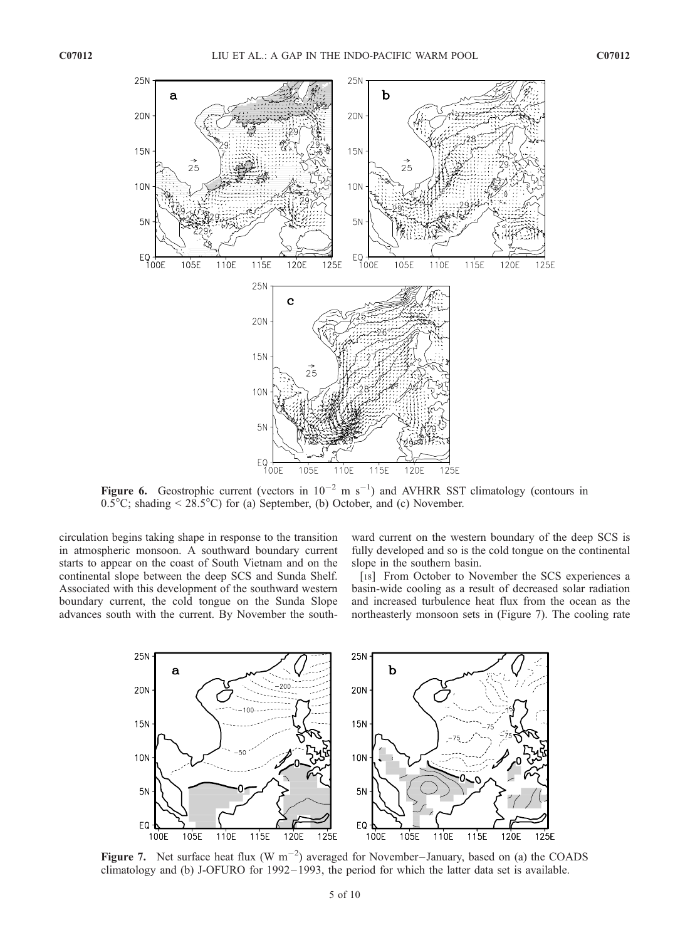

Figure 6. Geostrophic current (vectors in  $10^{-2}$  m s<sup>-1</sup>) and AVHRR SST climatology (contours in  $0.5^{\circ}$ C; shading < 28.5°C) for (a) September, (b) October, and (c) November.

circulation begins taking shape in response to the transition in atmospheric monsoon. A southward boundary current starts to appear on the coast of South Vietnam and on the continental slope between the deep SCS and Sunda Shelf. Associated with this development of the southward western boundary current, the cold tongue on the Sunda Slope advances south with the current. By November the south-

ward current on the western boundary of the deep SCS is fully developed and so is the cold tongue on the continental slope in the southern basin.

[18] From October to November the SCS experiences a basin-wide cooling as a result of decreased solar radiation and increased turbulence heat flux from the ocean as the northeasterly monsoon sets in (Figure 7). The cooling rate



Figure 7. Net surface heat flux (W  $m^{-2}$ ) averaged for November–January, based on (a) the COADS climatology and (b) J-OFURO for 1992 – 1993, the period for which the latter data set is available.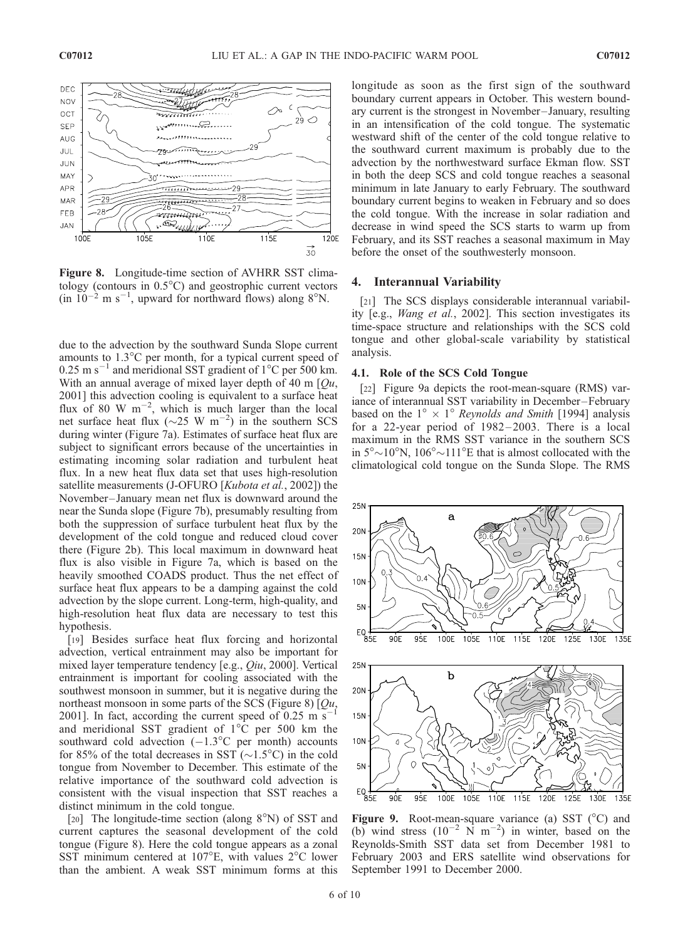

Figure 8. Longitude-time section of AVHRR SST climatology (contours in  $0.5^{\circ}$ C) and geostrophic current vectors  $(in 10^{-2} \text{ m s}^{-1},$  upward for northward flows) along 8°N.

due to the advection by the southward Sunda Slope current amounts to  $1.3^{\circ}$ C per month, for a typical current speed of  $0.25$  m s<sup>-1</sup> and meridional SST gradient of 1<sup>o</sup>C per 500 km. With an annual average of mixed layer depth of 40 m  $[Qu,$ 2001] this advection cooling is equivalent to a surface heat flux of 80 W  $m^{-2}$ , which is much larger than the local net surface heat flux ( $\sim$ 25 W m<sup>-2</sup>) in the southern SCS during winter (Figure 7a). Estimates of surface heat flux are subject to significant errors because of the uncertainties in estimating incoming solar radiation and turbulent heat flux. In a new heat flux data set that uses high-resolution satellite measurements (J-OFURO [Kubota et al., 2002]) the November– January mean net flux is downward around the near the Sunda slope (Figure 7b), presumably resulting from both the suppression of surface turbulent heat flux by the development of the cold tongue and reduced cloud cover there (Figure 2b). This local maximum in downward heat flux is also visible in Figure 7a, which is based on the heavily smoothed COADS product. Thus the net effect of surface heat flux appears to be a damping against the cold advection by the slope current. Long-term, high-quality, and high-resolution heat flux data are necessary to test this hypothesis.

[19] Besides surface heat flux forcing and horizontal advection, vertical entrainment may also be important for mixed layer temperature tendency [e.g., Qiu, 2000]. Vertical entrainment is important for cooling associated with the southwest monsoon in summer, but it is negative during the northeast monsoon in some parts of the SCS (Figure 8)  $[Qu,$ 2001]. In fact, according the current speed of  $0.25 \text{ m s}$ and meridional SST gradient of  $1^{\circ}$ C per 500 km the southward cold advection  $(-1.3^{\circ}C$  per month) accounts for 85% of the total decreases in SST  $(\sim 1.5^{\circ}C)$  in the cold tongue from November to December. This estimate of the relative importance of the southward cold advection is consistent with the visual inspection that SST reaches a distinct minimum in the cold tongue.

[20] The longitude-time section (along  $8^\circ$ N) of SST and current captures the seasonal development of the cold tongue (Figure 8). Here the cold tongue appears as a zonal SST minimum centered at  $107^{\circ}$ E, with values  $2^{\circ}$ C lower than the ambient. A weak SST minimum forms at this longitude as soon as the first sign of the southward boundary current appears in October. This western boundary current is the strongest in November – January, resulting in an intensification of the cold tongue. The systematic westward shift of the center of the cold tongue relative to the southward current maximum is probably due to the advection by the northwestward surface Ekman flow. SST in both the deep SCS and cold tongue reaches a seasonal minimum in late January to early February. The southward boundary current begins to weaken in February and so does the cold tongue. With the increase in solar radiation and decrease in wind speed the SCS starts to warm up from February, and its SST reaches a seasonal maximum in May before the onset of the southwesterly monsoon.

#### 4. Interannual Variability

[21] The SCS displays considerable interannual variability [e.g., Wang et al., 2002]. This section investigates its time-space structure and relationships with the SCS cold tongue and other global-scale variability by statistical analysis.

# 4.1. Role of the SCS Cold Tongue

[22] Figure 9a depicts the root-mean-square (RMS) variance of interannual SST variability in December –February based on the  $1^{\circ} \times 1^{\circ}$  Reynolds and Smith [1994] analysis for a 22-year period of 1982-2003. There is a local maximum in the RMS SST variance in the southern SCS in  $5^{\circ} \sim 10^{\circ}$ N,  $106^{\circ} \sim 111^{\circ}$ E that is almost collocated with the climatological cold tongue on the Sunda Slope. The RMS



Figure 9. Root-mean-square variance (a) SST  $(^{\circ}C)$  and (b) wind stress  $(10^{-2} \text{ N m}^{-2})$  in winter, based on the Reynolds-Smith SST data set from December 1981 to February 2003 and ERS satellite wind observations for September 1991 to December 2000.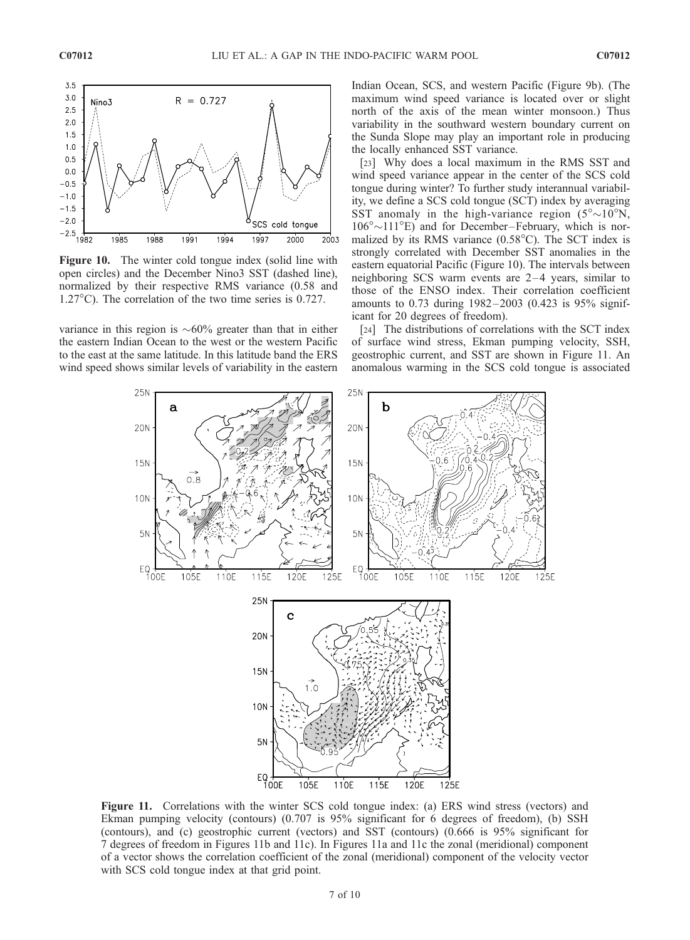

**Figure 10.** The winter cold tongue index (solid line with open circles) and the December Nino3 SST (dashed line), normalized by their respective RMS variance (0.58 and  $1.27^{\circ}$ C). The correlation of the two time series is 0.727.

variance in this region is  $\sim 60\%$  greater than that in either the eastern Indian Ocean to the west or the western Pacific to the east at the same latitude. In this latitude band the ERS wind speed shows similar levels of variability in the eastern

Indian Ocean, SCS, and western Pacific (Figure 9b). (The maximum wind speed variance is located over or slight north of the axis of the mean winter monsoon.) Thus variability in the southward western boundary current on the Sunda Slope may play an important role in producing the locally enhanced SST variance.

[23] Why does a local maximum in the RMS SST and wind speed variance appear in the center of the SCS cold tongue during winter? To further study interannual variability, we define a SCS cold tongue (SCT) index by averaging SST anomaly in the high-variance region  $(5^{\circ} \sim 10^{\circ} N,$  $106^{\circ} \sim 111^{\circ}$  E) and for December-February, which is normalized by its RMS variance  $(0.58^{\circ}C)$ . The SCT index is strongly correlated with December SST anomalies in the eastern equatorial Pacific (Figure 10). The intervals between neighboring SCS warm events are  $2-4$  years, similar to those of the ENSO index. Their correlation coefficient amounts to 0.73 during 1982 –2003 (0.423 is 95% significant for 20 degrees of freedom).

[24] The distributions of correlations with the SCT index of surface wind stress, Ekman pumping velocity, SSH, geostrophic current, and SST are shown in Figure 11. An anomalous warming in the SCS cold tongue is associated



Figure 11. Correlations with the winter SCS cold tongue index: (a) ERS wind stress (vectors) and Ekman pumping velocity (contours) (0.707 is 95% significant for 6 degrees of freedom), (b) SSH (contours), and (c) geostrophic current (vectors) and SST (contours) (0.666 is 95% significant for 7 degrees of freedom in Figures 11b and 11c). In Figures 11a and 11c the zonal (meridional) component of a vector shows the correlation coefficient of the zonal (meridional) component of the velocity vector with SCS cold tongue index at that grid point.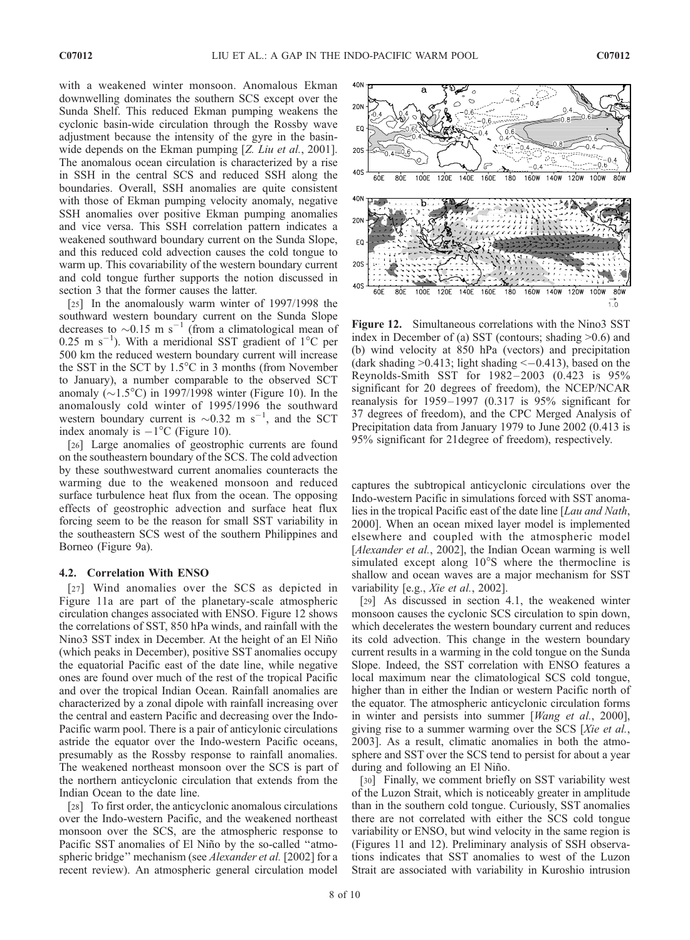with a weakened winter monsoon. Anomalous Ekman downwelling dominates the southern SCS except over the Sunda Shelf. This reduced Ekman pumping weakens the cyclonic basin-wide circulation through the Rossby wave adjustment because the intensity of the gyre in the basinwide depends on the Ekman pumping [Z. Liu et al., 2001]. The anomalous ocean circulation is characterized by a rise in SSH in the central SCS and reduced SSH along the boundaries. Overall, SSH anomalies are quite consistent with those of Ekman pumping velocity anomaly, negative SSH anomalies over positive Ekman pumping anomalies and vice versa. This SSH correlation pattern indicates a weakened southward boundary current on the Sunda Slope, and this reduced cold advection causes the cold tongue to warm up. This covariability of the western boundary current and cold tongue further supports the notion discussed in section 3 that the former causes the latter.

[25] In the anomalously warm winter of 1997/1998 the southward western boundary current on the Sunda Slope decreases to  $\sim$ 0.15 m s<sup>-1</sup> (from a climatological mean of  $0.25$  m s<sup>-1</sup>). With a meridional SST gradient of 1<sup>o</sup>C per 500 km the reduced western boundary current will increase the SST in the SCT by  $1.5^{\circ}$ C in 3 months (from November to January), a number comparable to the observed SCT anomaly ( $\sim$ 1.5°C) in 1997/1998 winter (Figure 10). In the anomalously cold winter of 1995/1996 the southward western boundary current is  $\sim 0.32$  m s<sup>-1</sup>, and the SCT index anomaly is  $-1^{\circ}C$  (Figure 10).

[26] Large anomalies of geostrophic currents are found on the southeastern boundary of the SCS. The cold advection by these southwestward current anomalies counteracts the warming due to the weakened monsoon and reduced surface turbulence heat flux from the ocean. The opposing effects of geostrophic advection and surface heat flux forcing seem to be the reason for small SST variability in the southeastern SCS west of the southern Philippines and Borneo (Figure 9a).

#### 4.2. Correlation With ENSO

[27] Wind anomalies over the SCS as depicted in Figure 11a are part of the planetary-scale atmospheric circulation changes associated with ENSO. Figure 12 shows the correlations of SST, 850 hPa winds, and rainfall with the Nino3 SST index in December. At the height of an El Niño (which peaks in December), positive SST anomalies occupy the equatorial Pacific east of the date line, while negative ones are found over much of the rest of the tropical Pacific and over the tropical Indian Ocean. Rainfall anomalies are characterized by a zonal dipole with rainfall increasing over the central and eastern Pacific and decreasing over the Indo-Pacific warm pool. There is a pair of anticylonic circulations astride the equator over the Indo-western Pacific oceans, presumably as the Rossby response to rainfall anomalies. The weakened northeast monsoon over the SCS is part of the northern anticyclonic circulation that extends from the Indian Ocean to the date line.

[28] To first order, the anticyclonic anomalous circulations over the Indo-western Pacific, and the weakened northeast monsoon over the SCS, are the atmospheric response to Pacific SST anomalies of El Niño by the so-called "atmospheric bridge" mechanism (see *Alexander et al.* [2002] for a recent review). An atmospheric general circulation model



Figure 12. Simultaneous correlations with the Nino3 SST index in December of (a) SST (contours; shading >0.6) and (b) wind velocity at 850 hPa (vectors) and precipitation (dark shading  $>0.413$ ; light shading  $<-0.413$ ), based on the Reynolds-Smith SST for 1982 – 2003 (0.423 is 95% significant for 20 degrees of freedom), the NCEP/NCAR reanalysis for  $1959 - 1997$  (0.317 is  $95\%$  significant for 37 degrees of freedom), and the CPC Merged Analysis of Precipitation data from January 1979 to June 2002 (0.413 is 95% significant for 21degree of freedom), respectively.

captures the subtropical anticyclonic circulations over the Indo-western Pacific in simulations forced with SST anomalies in the tropical Pacific east of the date line [Lau and Nath, 2000]. When an ocean mixed layer model is implemented elsewhere and coupled with the atmospheric model [Alexander et al., 2002], the Indian Ocean warming is well simulated except along  $10^{\circ}$ S where the thermocline is shallow and ocean waves are a major mechanism for SST variability [e.g., *Xie et al.*, 2002].

[29] As discussed in section 4.1, the weakened winter monsoon causes the cyclonic SCS circulation to spin down, which decelerates the western boundary current and reduces its cold advection. This change in the western boundary current results in a warming in the cold tongue on the Sunda Slope. Indeed, the SST correlation with ENSO features a local maximum near the climatological SCS cold tongue, higher than in either the Indian or western Pacific north of the equator. The atmospheric anticyclonic circulation forms in winter and persists into summer [Wang et al., 2000], giving rise to a summer warming over the SCS [Xie et al., 2003]. As a result, climatic anomalies in both the atmosphere and SST over the SCS tend to persist for about a year during and following an El Niño.

[30] Finally, we comment briefly on SST variability west of the Luzon Strait, which is noticeably greater in amplitude than in the southern cold tongue. Curiously, SST anomalies there are not correlated with either the SCS cold tongue variability or ENSO, but wind velocity in the same region is (Figures 11 and 12). Preliminary analysis of SSH observations indicates that SST anomalies to west of the Luzon Strait are associated with variability in Kuroshio intrusion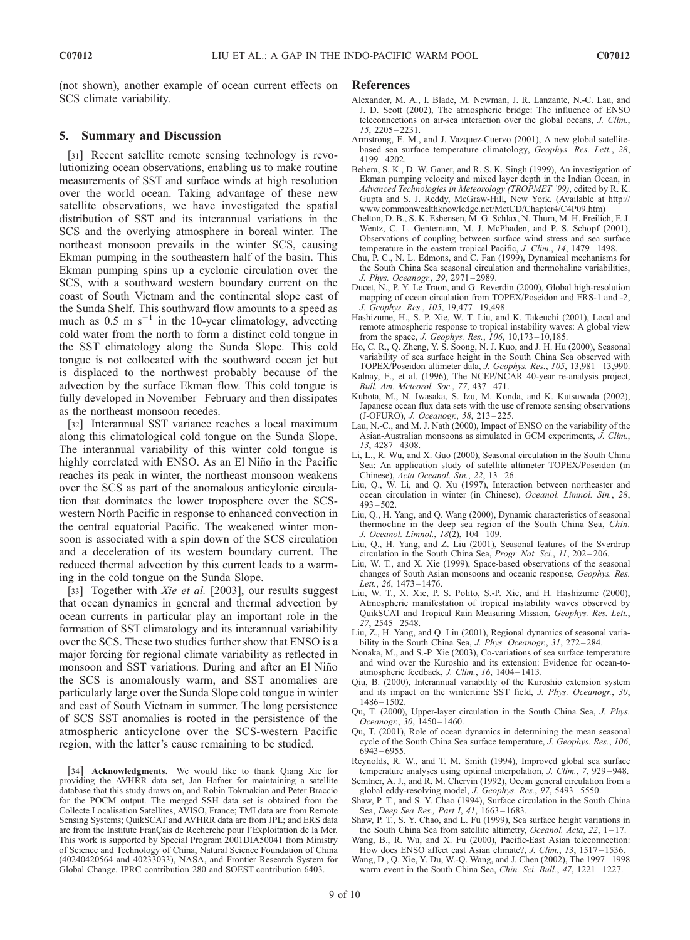(not shown), another example of ocean current effects on SCS climate variability.

# 5. Summary and Discussion

[31] Recent satellite remote sensing technology is revolutionizing ocean observations, enabling us to make routine measurements of SST and surface winds at high resolution over the world ocean. Taking advantage of these new satellite observations, we have investigated the spatial distribution of SST and its interannual variations in the SCS and the overlying atmosphere in boreal winter. The northeast monsoon prevails in the winter SCS, causing Ekman pumping in the southeastern half of the basin. This Ekman pumping spins up a cyclonic circulation over the SCS, with a southward western boundary current on the coast of South Vietnam and the continental slope east of the Sunda Shelf. This southward flow amounts to a speed as much as 0.5 m  $s^{-1}$  in the 10-year climatology, advecting cold water from the north to form a distinct cold tongue in the SST climatology along the Sunda Slope. This cold tongue is not collocated with the southward ocean jet but is displaced to the northwest probably because of the advection by the surface Ekman flow. This cold tongue is fully developed in November–February and then dissipates as the northeast monsoon recedes.

[32] Interannual SST variance reaches a local maximum along this climatological cold tongue on the Sunda Slope. The interannual variability of this winter cold tongue is highly correlated with ENSO. As an El Niño in the Pacific reaches its peak in winter, the northeast monsoon weakens over the SCS as part of the anomalous anticylonic circulation that dominates the lower troposphere over the SCSwestern North Pacific in response to enhanced convection in the central equatorial Pacific. The weakened winter monsoon is associated with a spin down of the SCS circulation and a deceleration of its western boundary current. The reduced thermal advection by this current leads to a warming in the cold tongue on the Sunda Slope.

[33] Together with *Xie et al.* [2003], our results suggest that ocean dynamics in general and thermal advection by ocean currents in particular play an important role in the formation of SST climatology and its interannual variability over the SCS. These two studies further show that ENSO is a major forcing for regional climate variability as reflected in monsoon and SST variations. During and after an El Niño the SCS is anomalously warm, and SST anomalies are particularly large over the Sunda Slope cold tongue in winter and east of South Vietnam in summer. The long persistence of SCS SST anomalies is rooted in the persistence of the atmospheric anticyclone over the SCS-western Pacific region, with the latter's cause remaining to be studied.

[34] **Acknowledgments.** We would like to thank Qiang Xie for providing the AVHRR data set, Jan Hafner for maintaining a satellite database that this study draws on, and Robin Tokmakian and Peter Braccio for the POCM output. The merged SSH data set is obtained from the Collecte Localisation Satellites, AVISO, France; TMI data are from Remote Sensing Systems; QuikSCAT and AVHRR data are from JPL; and ERS data are from the Institute FranÇais de Recherche pour l'Exploitation de la Mer. This work is supported by Special Program 2001DIA50041 from Ministry of Science and Technology of China, Natural Science Foundation of China (40240420564 and 40233033), NASA, and Frontier Research System for Global Change. IPRC contribution 280 and SOEST contribution 6403.

#### References

- Alexander, M. A., I. Blade, M. Newman, J. R. Lanzante, N.-C. Lau, and J. D. Scott (2002), The atmospheric bridge: The influence of ENSO teleconnections on air-sea interaction over the global oceans, J. Clim., 15, 2205 – 2231.
- Armstrong, E. M., and J. Vazquez-Cuervo (2001), A new global satellitebased sea surface temperature climatology, Geophys. Res. Lett., 28, 4199 – 4202.
- Behera, S. K., D. W. Ganer, and R. S. K. Singh (1999), An investigation of Ekman pumping velocity and mixed layer depth in the Indian Ocean, in Advanced Technologies in Meteorology (TROPMET '99), edited by R. K. Gupta and S. J. Reddy, McGraw-Hill, New York. (Available at http:// www.commonwealthknowledge.net/MetCD/Chapter4/C4P09.htm)
- Chelton, D. B., S. K. Esbensen, M. G. Schlax, N. Thum, M. H. Freilich, F. J. Wentz, C. L. Gentemann, M. J. McPhaden, and P. S. Schopf (2001), Observations of coupling between surface wind stress and sea surface temperature in the eastern tropical Pacific, J. Clim., 14, 1479-1498.
- Chu, P. C., N. L. Edmons, and C. Fan (1999), Dynamical mechanisms for the South China Sea seasonal circulation and thermohaline variabilities, J. Phys. Oceanogr., 29, 2971 – 2989.
- Ducet, N., P. Y. Le Traon, and G. Reverdin (2000), Global high-resolution mapping of ocean circulation from TOPEX/Poseidon and ERS-1 and -2, J. Geophys. Res., 105, 19,477 – 19,498.
- Hashizume, H., S. P. Xie, W. T. Liu, and K. Takeuchi (2001), Local and remote atmospheric response to tropical instability waves: A global view from the space, *J. Geophys. Res.*, 106, 10,173-10,185.
- Ho, C. R., Q. Zheng, Y. S. Soong, N. J. Kuo, and J. H. Hu (2000), Seasonal variability of sea surface height in the South China Sea observed with TOPEX/Poseidon altimeter data, J. Geophys. Res., 105, 13,981 – 13,990.
- Kalnay, E., et al. (1996), The NCEP/NCAR 40-year re-analysis project, Bull. Am. Meteorol. Soc., 77, 437 – 471.
- Kubota, M., N. Iwasaka, S. Izu, M. Konda, and K. Kutsuwada (2002), Japanese ocean flux data sets with the use of remote sensing observations (J-OFURO), J. Oceanogr., 58, 213 – 225.
- Lau, N.-C., and M. J. Nath (2000), Impact of ENSO on the variability of the Asian-Australian monsoons as simulated in GCM experiments, J. Clim., 13, 4287 – 4308.
- Li, L., R. Wu, and X. Guo (2000), Seasonal circulation in the South China Sea: An application study of satellite altimeter TOPEX/Poseidon (in Chinese), Acta Oceanol. Sin., 22, 13-26.
- Liu, Q., W. Li, and Q. Xu (1997), Interaction between northeaster and ocean circulation in winter (in Chinese), Oceanol. Limnol. Sin., 28,  $493 - 502$ .
- Liu, Q., H. Yang, and Q. Wang (2000), Dynamic characteristics of seasonal thermocline in the deep sea region of the South China Sea, Chin. J. Oceanol. Limnol., 18(2), 104 – 109.
- Liu, Q., H. Yang, and Z. Liu (2001), Seasonal features of the Sverdrup circulation in the South China Sea, Progr. Nat. Sci., 11, 202 – 206.
- Liu, W. T., and X. Xie (1999), Space-based observations of the seasonal changes of South Asian monsoons and oceanic response, Geophys. Res. Lett., 26, 1473-1476.
- Liu, W. T., X. Xie, P. S. Polito, S.-P. Xie, and H. Hashizume (2000), Atmospheric manifestation of tropical instability waves observed by QuikSCAT and Tropical Rain Measuring Mission, Geophys. Res. Lett., 27, 2545 – 2548.
- Liu, Z., H. Yang, and Q. Liu (2001), Regional dynamics of seasonal variability in the South China Sea, J. Phys. Oceanogr., 31, 272–284.
- Nonaka, M., and S.-P. Xie (2003), Co-variations of sea surface temperature and wind over the Kuroshio and its extension: Evidence for ocean-toatmospheric feedback, J. Clim., 16, 1404-1413.
- Qiu, B. (2000), Interannual variability of the Kuroshio extension system and its impact on the wintertime SST field, J. Phys. Oceanogr., 30,  $1486 - 1502$ .
- Qu, T. (2000), Upper-layer circulation in the South China Sea, J. Phys. Oceanogr., 30, 1450-1460.
- Qu, T. (2001), Role of ocean dynamics in determining the mean seasonal cycle of the South China Sea surface temperature, J. Geophys. Res., 106, 6943 – 6955.
- Reynolds, R. W., and T. M. Smith (1994), Improved global sea surface temperature analyses using optimal interpolation, J. Clim., 7, 929–948.
- Semtner, A. J., and R. M. Chervin (1992), Ocean general circulation from a global eddy-resolving model, J. Geophys. Res., 97, 5493 – 5550.
- Shaw, P. T., and S. Y. Chao (1994), Surface circulation in the South China Sea, Deep Sea Res., Part I, 41, 1663-1683.
- Shaw, P. T., S. Y. Chao, and L. Fu (1999), Sea surface height variations in the South China Sea from satellite altimetry, *Oceanol. Acta*, 22, 1–17.
- Wang, B., R. Wu, and X. Fu (2000), Pacific-East Asian teleconnection: How does ENSO affect east Asian climate?, J. Clim., 13, 1517-1536.
- Wang, D., Q. Xie, Y. Du, W.-Q. Wang, and J. Chen (2002), The 1997 1998 warm event in the South China Sea, Chin. Sci. Bull., 47, 1221-1227.